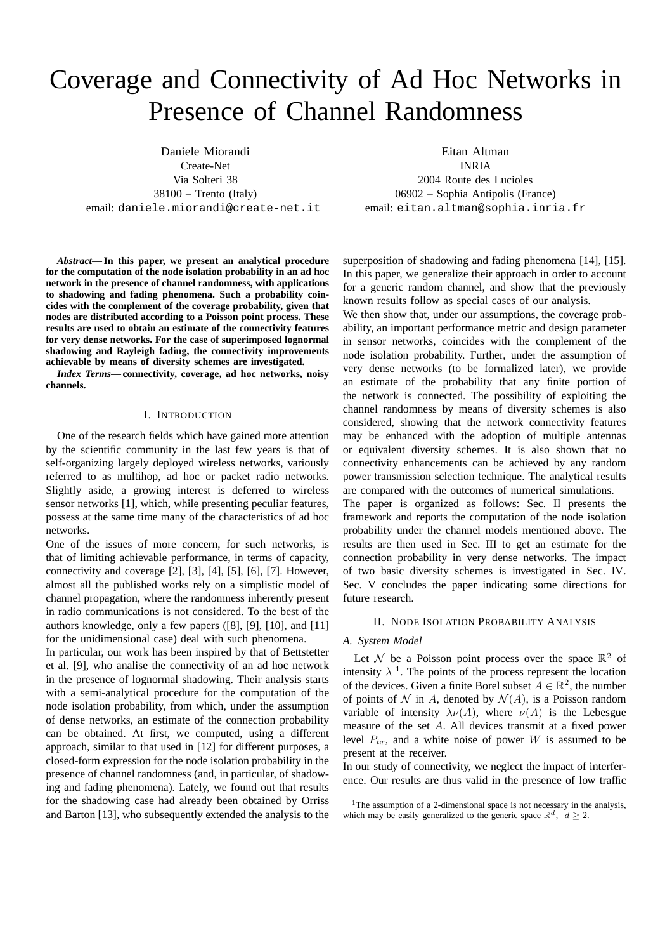# Coverage and Connectivity of Ad Hoc Networks in Presence of Channel Randomness

Daniele Miorandi

Create-Net Via Solteri 38  $38100 -$  Trento (Italy) email: daniele.miorandi@create-net.it

*Abstract***— In this paper, we present an analytical procedure for the computation of the node isolation probability in an ad hoc network in the presence of channel randomness, with applications to shadowing and fading phenomena. Such a probability coincides with the complement of the coverage probability, given that nodes are distributed according to a Poisson point process. These results are used to obtain an estimate of the connectivity features for very dense networks. For the case of superimposed lognormal shadowing and Rayleigh fading, the connectivity improvements achievable by means of diversity schemes are investigated.**

*Index Terms***— connectivity, coverage, ad hoc networks, noisy channels.**

#### I. INTRODUCTION

One of the research fields which have gained more attention by the scientific community in the last few years is that of self-organizing largely deployed wireless networks, variously referred to as multihop, ad hoc or packet radio networks. Slightly aside, a growing interest is deferred to wireless sensor networks [1], which, while presenting peculiar features, possess at the same time many of the characteristics of ad hoc networks.

One of the issues of more concern, for such networks, is that of limiting achievable performance, in terms of capacity, connectivity and coverage [2], [3], [4], [5], [6], [7]. However, almost all the published works rely on a simplistic model of channel propagation, where the randomness inherently present in radio communications is not considered. To the best of the authors knowledge, only a few papers ([8], [9], [10], and [11] for the unidimensional case) deal with such phenomena.

In particular, our work has been inspired by that of Bettstetter et al. [9], who analise the connectivity of an ad hoc network in the presence of lognormal shadowing. Their analysis starts with a semi-analytical procedure for the computation of the node isolation probability, from which, under the assumption of dense networks, an estimate of the connection probability can be obtained. At first, we computed, using a different approach, similar to that used in [12] for different purposes, a closed-form expression for the node isolation probability in the presence of channel randomness (and, in particular, of shadowing and fading phenomena). Lately, we found out that results for the shadowing case had already been obtained by Orriss and Barton [13], who subsequently extended the analysis to the

Eitan Altman INRIA

2004 Route des Lucioles 06902 – Sophia Antipolis (France) email: eitan.altman@sophia.inria.fr

superposition of shadowing and fading phenomena [14], [15]. In this paper, we generalize their approach in order to account for a generic random channel, and show that the previously known results follow as special cases of our analysis.

We then show that, under our assumptions, the coverage probability, an important performance metric and design parameter in sensor networks, coincides with the complement of the node isolation probability. Further, under the assumption of very dense networks (to be formalized later), we provide an estimate of the probability that any finite portion of the network is connected. The possibility of exploiting the channel randomness by means of diversity schemes is also considered, showing that the network connectivity features may be enhanced with the adoption of multiple antennas or equivalent diversity schemes. It is also shown that no connectivity enhancements can be achieved by any random power transmission selection technique. The analytical results are compared with the outcomes of numerical simulations.

The paper is organized as follows: Sec. II presents the framework and reports the computation of the node isolation probability under the channel models mentioned above. The results are then used in Sec. III to get an estimate for the connection probability in very dense networks. The impact of two basic diversity schemes is investigated in Sec. IV. Sec. V concludes the paper indicating some directions for future research.

#### II. NODE ISOLATION PROBABILITY ANALYSIS

#### *A. System Model*

Let N be a Poisson point process over the space  $\mathbb{R}^2$  of intensity  $\lambda$ <sup>1</sup>. The points of the process represent the location of the devices. Given a finite Borel subset  $A \in \mathbb{R}^2$ , the number of points of N in A, denoted by  $\mathcal{N}(A)$ , is a Poisson random variable of intensity  $\lambda \nu(A)$ , where  $\nu(A)$  is the Lebesgue measure of the set A. All devices transmit at a fixed power level  $P_{tx}$ , and a white noise of power W is assumed to be present at the receiver.

In our study of connectivity, we neglect the impact of interference. Our results are thus valid in the presence of low traffic

<sup>1</sup>The assumption of a 2-dimensional space is not necessary in the analysis, which may be easily generalized to the generic space  $\mathbb{R}^d$ ,  $d \geq 2$ .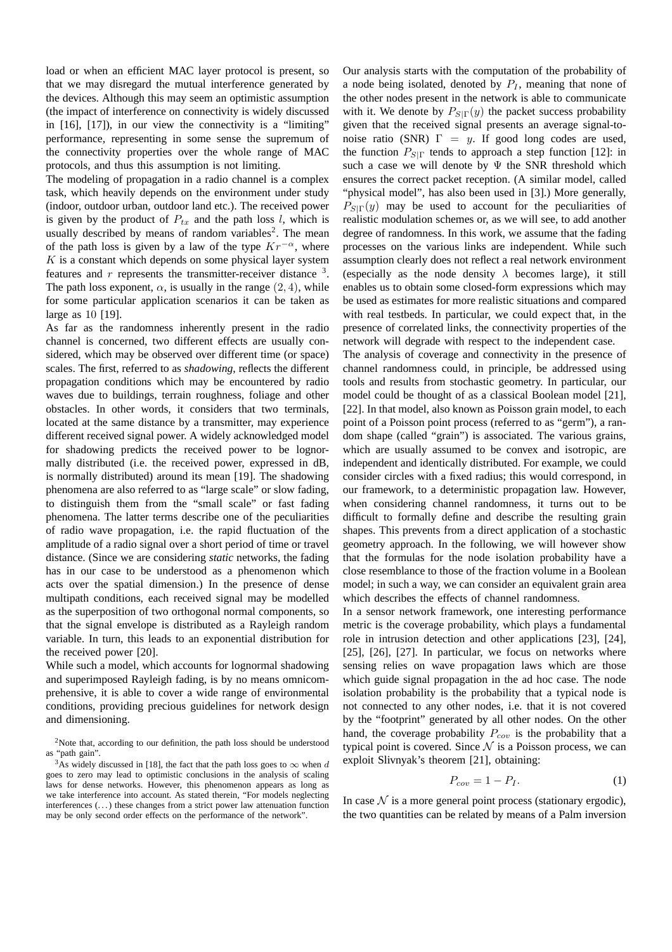load or when an efficient MAC layer protocol is present, so that we may disregard the mutual interference generated by the devices. Although this may seem an optimistic assumption (the impact of interference on connectivity is widely discussed in [16], [17]), in our view the connectivity is a "limiting" performance, representing in some sense the supremum of the connectivity properties over the whole range of MAC protocols, and thus this assumption is not limiting.

The modeling of propagation in a radio channel is a complex task, which heavily depends on the environment under study (indoor, outdoor urban, outdoor land etc.). The received power is given by the product of  $P_{tx}$  and the path loss l, which is usually described by means of random variables<sup>2</sup>. The mean of the path loss is given by a law of the type  $Kr^{-\alpha}$ , where  $K$  is a constant which depends on some physical layer system features and  $r$  represents the transmitter-receiver distance  $3$ . The path loss exponent,  $\alpha$ , is usually in the range  $(2, 4)$ , while for some particular application scenarios it can be taken as large as 10 [19].

As far as the randomness inherently present in the radio channel is concerned, two different effects are usually considered, which may be observed over different time (or space) scales. The first, referred to as *shadowing*, reflects the different propagation conditions which may be encountered by radio waves due to buildings, terrain roughness, foliage and other obstacles. In other words, it considers that two terminals, located at the same distance by a transmitter, may experience different received signal power. A widely acknowledged model for shadowing predicts the received power to be lognormally distributed (i.e. the received power, expressed in dB, is normally distributed) around its mean [19]. The shadowing phenomena are also referred to as "large scale" or slow fading, to distinguish them from the "small scale" or fast fading phenomena. The latter terms describe one of the peculiarities of radio wave propagation, i.e. the rapid fluctuation of the amplitude of a radio signal over a short period of time or travel distance. (Since we are considering *static* networks, the fading has in our case to be understood as a phenomenon which acts over the spatial dimension.) In the presence of dense multipath conditions, each received signal may be modelled as the superposition of two orthogonal normal components, so that the signal envelope is distributed as a Rayleigh random variable. In turn, this leads to an exponential distribution for the received power [20].

While such a model, which accounts for lognormal shadowing and superimposed Rayleigh fading, is by no means omnicomprehensive, it is able to cover a wide range of environmental conditions, providing precious guidelines for network design and dimensioning.

Our analysis starts with the computation of the probability of a node being isolated, denoted by  $P_I$ , meaning that none of the other nodes present in the network is able to communicate with it. We denote by  $P_{S|\Gamma}(y)$  the packet success probability given that the received signal presents an average signal-tonoise ratio (SNR)  $\Gamma = y$ . If good long codes are used, the function  $P_{S|\Gamma}$  tends to approach a step function [12]: in such a case we will denote by  $\Psi$  the SNR threshold which ensures the correct packet reception. (A similar model, called "physical model", has also been used in [3].) More generally,  $P_{\text{SIP}}(y)$  may be used to account for the peculiarities of realistic modulation schemes or, as we will see, to add another degree of randomness. In this work, we assume that the fading processes on the various links are independent. While such assumption clearly does not reflect a real network environment (especially as the node density  $\lambda$  becomes large), it still enables us to obtain some closed-form expressions which may be used as estimates for more realistic situations and compared with real testbeds. In particular, we could expect that, in the presence of correlated links, the connectivity properties of the network will degrade with respect to the independent case.

The analysis of coverage and connectivity in the presence of channel randomness could, in principle, be addressed using tools and results from stochastic geometry. In particular, our model could be thought of as a classical Boolean model [21], [22]. In that model, also known as Poisson grain model, to each point of a Poisson point process (referred to as "germ"), a random shape (called "grain") is associated. The various grains, which are usually assumed to be convex and isotropic, are independent and identically distributed. For example, we could consider circles with a fixed radius; this would correspond, in our framework, to a deterministic propagation law. However, when considering channel randomness, it turns out to be difficult to formally define and describe the resulting grain shapes. This prevents from a direct application of a stochastic geometry approach. In the following, we will however show that the formulas for the node isolation probability have a close resemblance to those of the fraction volume in a Boolean model; in such a way, we can consider an equivalent grain area which describes the effects of channel randomness.

In a sensor network framework, one interesting performance metric is the coverage probability, which plays a fundamental role in intrusion detection and other applications [23], [24], [25], [26], [27]. In particular, we focus on networks where sensing relies on wave propagation laws which are those which guide signal propagation in the ad hoc case. The node isolation probability is the probability that a typical node is not connected to any other nodes, i.e. that it is not covered by the "footprint" generated by all other nodes. On the other hand, the coverage probability  $P_{cov}$  is the probability that a typical point is covered. Since  $N$  is a Poisson process, we can exploit Slivnyak's theorem [21], obtaining:

$$
P_{cov} = 1 - P_I. \tag{1}
$$

In case  $N$  is a more general point process (stationary ergodic), the two quantities can be related by means of a Palm inversion

<sup>&</sup>lt;sup>2</sup>Note that, according to our definition, the path loss should be understood as "path gain".

<sup>&</sup>lt;sup>3</sup>As widely discussed in [18], the fact that the path loss goes to  $\infty$  when d goes to zero may lead to optimistic conclusions in the analysis of scaling laws for dense networks. However, this phenomenon appears as long as we take interference into account. As stated therein, "For models neglecting interferences (. . .) these changes from a strict power law attenuation function may be only second order effects on the performance of the network".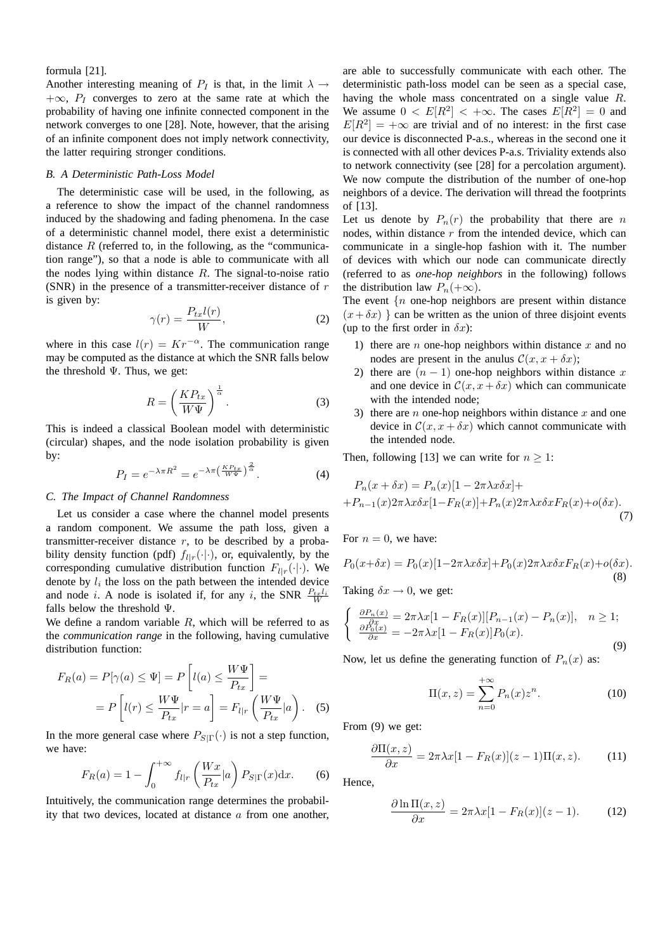## formula [21].

Another interesting meaning of  $P_I$  is that, in the limit  $\lambda \rightarrow$  $+\infty$ ,  $P_I$  converges to zero at the same rate at which the probability of having one infinite connected component in the network converges to one [28]. Note, however, that the arising of an infinite component does not imply network connectivity, the latter requiring stronger conditions.

#### *B. A Deterministic Path-Loss Model*

The deterministic case will be used, in the following, as a reference to show the impact of the channel randomness induced by the shadowing and fading phenomena. In the case of a deterministic channel model, there exist a deterministic distance  $R$  (referred to, in the following, as the "communication range"), so that a node is able to communicate with all the nodes lying within distance  $R$ . The signal-to-noise ratio (SNR) in the presence of a transmitter-receiver distance of  $r$ is given by:

$$
\gamma(r) = \frac{P_{tx}l(r)}{W},\tag{2}
$$

where in this case  $l(r) = Kr^{-\alpha}$ . The communication range may be computed as the distance at which the SNR falls below the threshold  $\Psi$ . Thus, we get:

$$
R = \left(\frac{KP_{tx}}{W\Psi}\right)^{\frac{1}{\alpha}}.\t(3)
$$

This is indeed a classical Boolean model with deterministic (circular) shapes, and the node isolation probability is given by:

$$
P_I = e^{-\lambda \pi R^2} = e^{-\lambda \pi \left(\frac{KP_{tx}}{W\Psi}\right)^{\frac{2}{\alpha}}}.
$$
 (4)

#### *C. The Impact of Channel Randomness*

Let us consider a case where the channel model presents a random component. We assume the path loss, given a transmitter-receiver distance  $r$ , to be described by a probability density function (pdf)  $f_{l|r}(\cdot|\cdot)$ , or, equivalently, by the corresponding cumulative distribution function  $F_{l|r}(\cdot|\cdot)$ . We denote by  $l_i$  the loss on the path between the intended device and node *i*. A node is isolated if, for any *i*, the SNR  $\frac{P_{tx}l_i}{W}$ falls below the threshold Ψ.

We define a random variable  $R$ , which will be referred to as the *communication range* in the following, having cumulative distribution function:

$$
F_R(a) = P[\gamma(a) \le \Psi] = P\left[l(a) \le \frac{W\Psi}{P_{tx}}\right] =
$$

$$
= P\left[l(r) \le \frac{W\Psi}{P_{tx}}|r=a\right] = F_{l|r}\left(\frac{W\Psi}{P_{tx}}|a\right). \quad (5)
$$

In the more general case where  $P_{S|\Gamma}(\cdot)$  is not a step function, we have:

$$
F_R(a) = 1 - \int_0^{+\infty} f_{l|r} \left(\frac{Wx}{P_{tx}}|a\right) P_{S|\Gamma}(x) \mathrm{d}x. \tag{6}
$$

Intuitively, the communication range determines the probability that two devices, located at distance  $a$  from one another, are able to successfully communicate with each other. The deterministic path-loss model can be seen as a special case, having the whole mass concentrated on a single value R. We assume  $0 \lt E[R^2] \lt +\infty$ . The cases  $E[R^2] = 0$  and  $E[R^2] = +\infty$  are trivial and of no interest: in the first case our device is disconnected P-a.s., whereas in the second one it is connected with all other devices P-a.s. Triviality extends also to network connectivity (see [28] for a percolation argument). We now compute the distribution of the number of one-hop neighbors of a device. The derivation will thread the footprints of [13].

Let us denote by  $P_n(r)$  the probability that there are n nodes, within distance  $r$  from the intended device, which can communicate in a single-hop fashion with it. The number of devices with which our node can communicate directly (referred to as *one-hop neighbors* in the following) follows the distribution law  $P_n(+\infty)$ .

The event  $\{n \text{ one-hop neighbors are present within distance}$  $(x+\delta x)$  } can be written as the union of three disjoint events (up to the first order in  $\delta x$ ):

- 1) there are *n* one-hop neighbors within distance  $x$  and no nodes are present in the anulus  $\mathcal{C}(x, x + \delta x);$
- 2) there are  $(n 1)$  one-hop neighbors within distance x and one device in  $\mathcal{C}(x, x + \delta x)$  which can communicate with the intended node;
- 3) there are *n* one-hop neighbors within distance  $x$  and one device in  $\mathcal{C}(x, x + \delta x)$  which cannot communicate with the intended node.

Then, following [13] we can write for  $n \geq 1$ :

$$
P_n(x + \delta x) = P_n(x)[1 - 2\pi\lambda x \delta x] +
$$
  
+
$$
P_{n-1}(x)2\pi\lambda x \delta x[1 - F_R(x)] + P_n(x)2\pi\lambda x \delta x F_R(x) + o(\delta x).
$$
  
(7)

For  $n = 0$ , we have:

$$
P_0(x+\delta x) = P_0(x)[1 - 2\pi\lambda x \delta x] + P_0(x)2\pi\lambda x \delta x F_R(x) + o(\delta x).
$$
\n(8)

Taking  $\delta x \rightarrow 0$ , we get:

$$
\begin{cases} \frac{\partial P_n(x)}{\partial x} = 2\pi \lambda x [1 - F_R(x)] [P_{n-1}(x) - P_n(x)], & n \ge 1;\\ \frac{\partial P_0(x)}{\partial x} = -2\pi \lambda x [1 - F_R(x)] P_0(x). \end{cases}
$$
(9)

Now, let us define the generating function of  $P_n(x)$  as:

$$
\Pi(x,z) = \sum_{n=0}^{+\infty} P_n(x) z^n.
$$
 (10)

From (9) we get:

$$
\frac{\partial \Pi(x,z)}{\partial x} = 2\pi \lambda x [1 - F_R(x)] (z-1) \Pi(x,z).
$$
 (11)

Hence,

$$
\frac{\partial \ln \Pi(x, z)}{\partial x} = 2\pi \lambda x [1 - F_R(x)] (z - 1).
$$
 (12)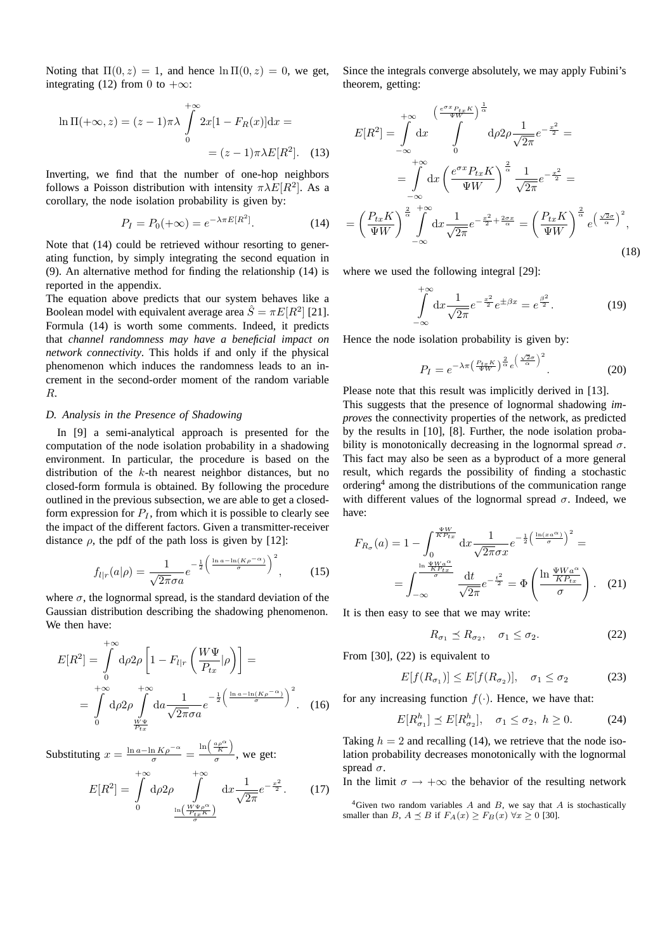Noting that  $\Pi(0, z) = 1$ , and hence  $\ln \Pi(0, z) = 0$ , we get, integrating (12) from 0 to  $+\infty$ :

$$
\ln \Pi(+\infty, z) = (z - 1)\pi \lambda \int_{0}^{+\infty} 2x[1 - F_R(x)]dx =
$$

$$
= (z - 1)\pi \lambda E[R^2]. \quad (13)
$$

Inverting, we find that the number of one-hop neighbors follows a Poisson distribution with intensity  $\pi \lambda E[R^2]$ . As a corollary, the node isolation probability is given by:

$$
P_I = P_0(+\infty) = e^{-\lambda \pi E[R^2]}.
$$
 (14)

Note that (14) could be retrieved withour resorting to generating function, by simply integrating the second equation in (9). An alternative method for finding the relationship (14) is reported in the appendix.

The equation above predicts that our system behaves like a Boolean model with equivalent average area  $\hat{S} = \pi E[R^2]$  [21]. Formula (14) is worth some comments. Indeed, it predicts that *channel randomness may have a beneficial impact on network connectivity*. This holds if and only if the physical phenomenon which induces the randomness leads to an increment in the second-order moment of the random variable R.

# *D. Analysis in the Presence of Shadowing*

In [9] a semi-analytical approach is presented for the computation of the node isolation probability in a shadowing environment. In particular, the procedure is based on the distribution of the k-th nearest neighbor distances, but no closed-form formula is obtained. By following the procedure outlined in the previous subsection, we are able to get a closedform expression for  $P_I$ , from which it is possible to clearly see the impact of the different factors. Given a transmitter-receiver distance  $\rho$ , the pdf of the path loss is given by [12]:

$$
f_{l|r}(a|\rho) = \frac{1}{\sqrt{2\pi}\sigma a} e^{-\frac{1}{2}\left(\frac{\ln a - \ln(K\rho^{-\alpha})}{\sigma}\right)^2},\tag{15}
$$

where  $\sigma$ , the lognormal spread, is the standard deviation of the Gaussian distribution describing the shadowing phenomenon. We then have:

$$
E[R^2] = \int_0^{+\infty} d\rho 2\rho \left[ 1 - F_{l|r} \left( \frac{W\Psi}{P_{tx}} | \rho \right) \right] =
$$
  
= 
$$
\int_0^{+\infty} d\rho 2\rho \int_{\frac{W\Psi}{P_{tx}}}^{\infty} d\alpha \frac{1}{\sqrt{2\pi}\sigma a} e^{-\frac{1}{2} \left( \frac{\ln a - \ln(K\rho^{-\alpha})}{\sigma} \right)^2}.
$$
 (16)

Substituting  $x = \frac{\ln a - \ln K \rho^{-\alpha}}{\sigma} = \frac{\ln \left( \frac{a \rho^{\alpha}}{K} \right)}{\sigma}$  $\frac{\kappa}{\sigma}$ , we get:

$$
E[R^2] = \int_0^{+\infty} d\rho 2\rho \int_{\frac{\ln\left(\frac{W\Psi\rho^{\alpha}}{P_{tx}K}\right)}{\sigma}}^{\infty} dx \frac{1}{\sqrt{2\pi}} e^{-\frac{x^2}{2}}.
$$
 (17)

Since the integrals converge absolutely, we may apply Fubini's theorem, getting:

$$
E[R^2] = \int_{-\infty}^{+\infty} dx \int_{0}^{\left(\frac{e^{\sigma x} P_{tx} K}{\Psi W}\right)^{\frac{1}{\alpha}}} d\rho 2\rho \frac{1}{\sqrt{2\pi}} e^{-\frac{x^2}{2}} =
$$
  

$$
= \int_{-\infty}^{+\infty} dx \left(\frac{e^{\sigma x} P_{tx} K}{\Psi W}\right)^{\frac{2}{\alpha}} \frac{1}{\sqrt{2\pi}} e^{-\frac{x^2}{2}} =
$$
  

$$
= \left(\frac{P_{tx} K}{\Psi W}\right)^{\frac{2}{\alpha}} \int_{-\infty}^{+\infty} dx \frac{1}{\sqrt{2\pi}} e^{-\frac{x^2}{2} + \frac{2\sigma x}{\alpha}} = \left(\frac{P_{tx} K}{\Psi W}\right)^{\frac{2}{\alpha}} e^{\left(\frac{\sqrt{2}\sigma}{\alpha}\right)^2},
$$
(18)

where we used the following integral [29]:

=

$$
\int_{-\infty}^{+\infty} dx \frac{1}{\sqrt{2\pi}} e^{-\frac{x^2}{2}} e^{\pm \beta x} = e^{\frac{\beta^2}{2}}.
$$
 (19)

Hence the node isolation probability is given by:

$$
P_I = e^{-\lambda \pi \left(\frac{P_{txK}}{\Psi W}\right)^{\frac{2}{\alpha}} e^{\left(\frac{\sqrt{2}\sigma}{\alpha}\right)^2}}.
$$
 (20)

Please note that this result was implicitly derived in [13]. This suggests that the presence of lognormal shadowing *improves* the connectivity properties of the network, as predicted by the results in [10], [8]. Further, the node isolation probability is monotonically decreasing in the lognormal spread  $\sigma$ . This fact may also be seen as a byproduct of a more general result, which regards the possibility of finding a stochastic ordering<sup>4</sup> among the distributions of the communication range with different values of the lognormal spread  $\sigma$ . Indeed, we have:

$$
F_{R_{\sigma}}(a) = 1 - \int_0^{\frac{\sqrt{W_{L}}}{KP_{tx}}} dx \frac{1}{\sqrt{2\pi}\sigma x} e^{-\frac{1}{2} \left(\frac{\ln(xa^{\alpha})}{\sigma}\right)^2} =
$$

$$
= \int_{-\infty}^{\frac{\ln \frac{\sqrt{W_{a^{\alpha}}}}{KP_{tx}}} {\sigma}} \frac{dt}{\sqrt{2\pi}} e^{-\frac{t^2}{2}} = \Phi\left(\frac{\ln \frac{\sqrt{W_{a^{\alpha}}}}{KP_{tx}}}{\sigma}\right). \quad (21)
$$

It is then easy to see that we may write:

$$
R_{\sigma_1} \preceq R_{\sigma_2}, \quad \sigma_1 \le \sigma_2. \tag{22}
$$

From [30], (22) is equivalent to

$$
E[f(R_{\sigma_1})] \le E[f(R_{\sigma_2})], \quad \sigma_1 \le \sigma_2 \tag{23}
$$

for any increasing function  $f(\cdot)$ . Hence, we have that:

$$
E[R_{\sigma_1}^h] \preceq E[R_{\sigma_2}^h], \quad \sigma_1 \le \sigma_2, \ h \ge 0. \tag{24}
$$

Taking  $h = 2$  and recalling (14), we retrieve that the node isolation probability decreases monotonically with the lognormal spread  $\sigma$ .

In the limit  $\sigma \rightarrow +\infty$  the behavior of the resulting network

<sup>4</sup>Given two random variables  $A$  and  $B$ , we say that  $A$  is stochastically smaller than B,  $A \preceq B$  if  $F_A(x) \geq F_B(x) \,\forall x \geq 0$  [30].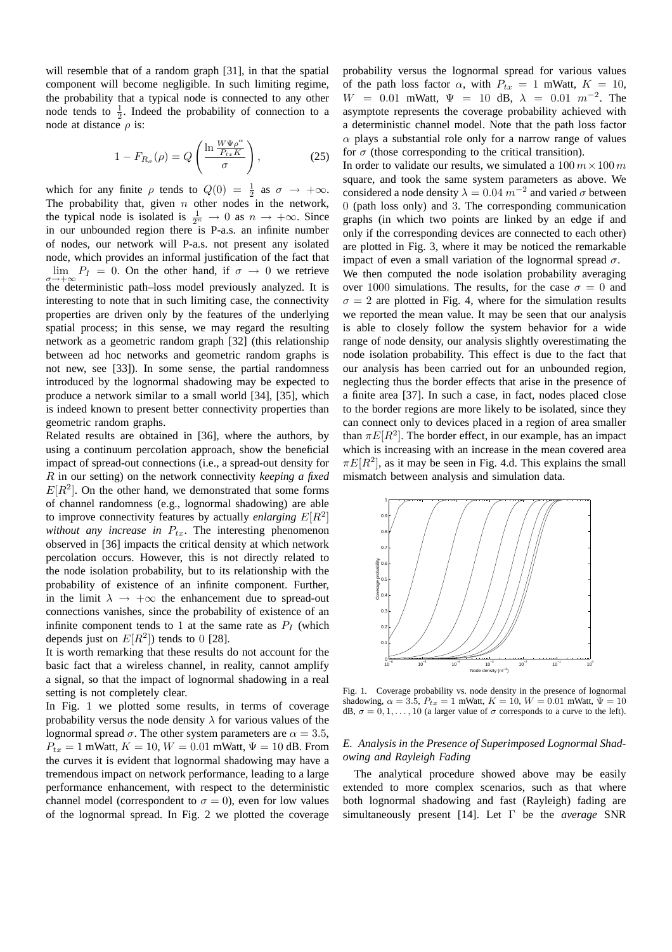will resemble that of a random graph [31], in that the spatial component will become negligible. In such limiting regime, the probability that a typical node is connected to any other node tends to  $\frac{1}{2}$ . Indeed the probability of connection to a node at distance  $\rho$  is:

$$
1 - F_{R_{\sigma}}(\rho) = Q\left(\frac{\ln \frac{W\Psi\rho^{\alpha}}{P_{tx}K}}{\sigma}\right),\tag{25}
$$

which for any finite  $\rho$  tends to  $Q(0) = \frac{1}{2}$  as  $\sigma \to +\infty$ . The probability that, given  $n$  other nodes in the network, the typical node is isolated is  $\frac{1}{2^n} \to 0$  as  $n \to +\infty$ . Since in our unbounded region there is P-a.s. an infinite number of nodes, our network will P-a.s. not present any isolated node, which provides an informal justification of the fact that  $\lim_{\sigma \to +\infty} P_I = 0$ . On the other hand, if  $\sigma \to 0$  we retrieve the deterministic path–loss model previously analyzed. It is interesting to note that in such limiting case, the connectivity properties are driven only by the features of the underlying spatial process; in this sense, we may regard the resulting network as a geometric random graph [32] (this relationship between ad hoc networks and geometric random graphs is not new, see [33]). In some sense, the partial randomness introduced by the lognormal shadowing may be expected to produce a network similar to a small world [34], [35], which is indeed known to present better connectivity properties than geometric random graphs.

Related results are obtained in [36], where the authors, by using a continuum percolation approach, show the beneficial impact of spread-out connections (i.e., a spread-out density for R in our setting) on the network connectivity *keeping a fixed*  $E[R^2]$ . On the other hand, we demonstrated that some forms of channel randomness (e.g., lognormal shadowing) are able to improve connectivity features by actually *enlarging*  $E[R^2]$ *without any increase in*  $P_{tx}$ . The interesting phenomenon observed in [36] impacts the critical density at which network percolation occurs. However, this is not directly related to the node isolation probability, but to its relationship with the probability of existence of an infinite component. Further, in the limit  $\lambda \rightarrow +\infty$  the enhancement due to spread-out connections vanishes, since the probability of existence of an infinite component tends to 1 at the same rate as  $P_I$  (which depends just on  $E[R^2]$ ) tends to 0 [28].

It is worth remarking that these results do not account for the basic fact that a wireless channel, in reality, cannot amplify a signal, so that the impact of lognormal shadowing in a real setting is not completely clear.

In Fig. 1 we plotted some results, in terms of coverage probability versus the node density  $\lambda$  for various values of the lognormal spread  $\sigma$ . The other system parameters are  $\alpha = 3.5$ ,  $P_{tx} = 1$  mWatt,  $K = 10$ ,  $W = 0.01$  mWatt,  $\Psi = 10$  dB. From the curves it is evident that lognormal shadowing may have a tremendous impact on network performance, leading to a large performance enhancement, with respect to the deterministic channel model (correspondent to  $\sigma = 0$ ), even for low values of the lognormal spread. In Fig. 2 we plotted the coverage probability versus the lognormal spread for various values of the path loss factor  $\alpha$ , with  $P_{tx} = 1$  mWatt,  $K = 10$ ,  $W = 0.01$  mWatt,  $\Psi = 10$  dB,  $\lambda = 0.01$   $m^{-2}$ . The asymptote represents the coverage probability achieved with a deterministic channel model. Note that the path loss factor  $\alpha$  plays a substantial role only for a narrow range of values for  $\sigma$  (those corresponding to the critical transition).

In order to validate our results, we simulated a  $100 \, m \times 100 \, m$ square, and took the same system parameters as above. We considered a node density  $\lambda = 0.04$   $m^{-2}$  and varied  $\sigma$  between 0 (path loss only) and 3. The corresponding communication graphs (in which two points are linked by an edge if and only if the corresponding devices are connected to each other) are plotted in Fig. 3, where it may be noticed the remarkable impact of even a small variation of the lognormal spread  $\sigma$ .

We then computed the node isolation probability averaging over 1000 simulations. The results, for the case  $\sigma = 0$  and  $\sigma = 2$  are plotted in Fig. 4, where for the simulation results we reported the mean value. It may be seen that our analysis is able to closely follow the system behavior for a wide range of node density, our analysis slightly overestimating the node isolation probability. This effect is due to the fact that our analysis has been carried out for an unbounded region, neglecting thus the border effects that arise in the presence of a finite area [37]. In such a case, in fact, nodes placed close to the border regions are more likely to be isolated, since they can connect only to devices placed in a region of area smaller than  $\pi E[R^2]$ . The border effect, in our example, has an impact which is increasing with an increase in the mean covered area  $\pi E[R^2]$ , as it may be seen in Fig. 4.d. This explains the small mismatch between analysis and simulation data.



Fig. 1. Coverage probability vs. node density in the presence of lognormal shadowing,  $\alpha = 3.5$ ,  $P_{tx} = 1$  mWatt,  $K = 10$ ,  $W = 0.01$  mWatt,  $\Psi = 10$ dB,  $\sigma = 0, 1, \ldots, 10$  (a larger value of  $\sigma$  corresponds to a curve to the left).

# *E. Analysis in the Presence of Superimposed Lognormal Shadowing and Rayleigh Fading*

The analytical procedure showed above may be easily extended to more complex scenarios, such as that where both lognormal shadowing and fast (Rayleigh) fading are simultaneously present [14]. Let Γ be the *average* SNR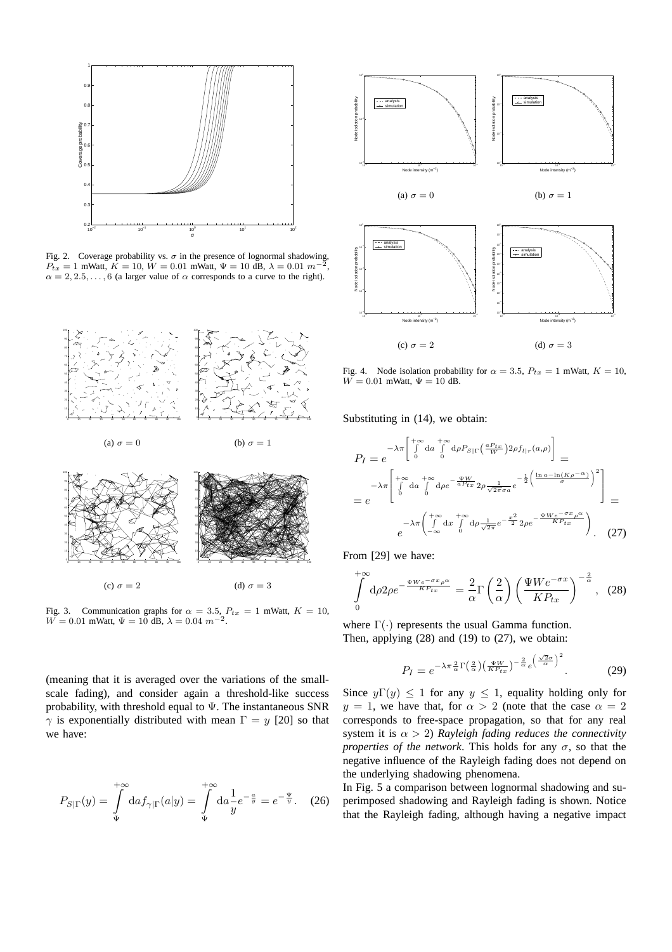

Fig. 2. Coverage probability vs.  $\sigma$  in the presence of lognormal shadowing,  $P_{tx} = 1$  mWatt,  $K = 10$ ,  $W = 0.01$  mWatt,  $\Psi = 10$  dB,  $\lambda = 0.01$  m<sup>-</sup> ,  $\alpha = 2, 2.5, \ldots, 6$  (a larger value of  $\alpha$  corresponds to a curve to the right).



Fig. 3. Communication graphs for  $\alpha = 3.5$ ,  $P_{tx} = 1$  mWatt,  $K = 10$ ,  $W = 0.01$  mWatt,  $\Psi = 10$  dB,  $\lambda = 0.04$   $m^{-2}$ .

(meaning that it is averaged over the variations of the smallscale fading), and consider again a threshold-like success probability, with threshold equal to  $\Psi$ . The instantaneous SNR  $\gamma$  is exponentially distributed with mean  $\Gamma = y$  [20] so that we have:

$$
P_{S|\Gamma}(y) = \int_{\Psi}^{+\infty} \mathrm{d}a f_{\gamma|\Gamma}(a|y) = \int_{\Psi}^{+\infty} \mathrm{d}a \frac{1}{y} e^{-\frac{a}{y}} = e^{-\frac{\Psi}{y}}. \tag{26}
$$



Fig. 4. Node isolation probability for  $\alpha = 3.5$ ,  $P_{tx} = 1$  mWatt,  $K = 10$ ,  $W = 0.01$  mWatt,  $\Psi = 10$  dB.

Substituting in (14), we obtain:

$$
P_{I} = e^{-\lambda \pi \left[\int_{0}^{+\infty} da \int_{0}^{+\infty} d\rho P_{S|\Gamma} \left(\frac{aP_{tx}}{W}\right) 2\rho f_{l|r}(a,\rho)\right]} =
$$
  
\n
$$
= e^{-\lambda \pi \left[\int_{0}^{+\infty} da \int_{0}^{+\infty} d\rho e^{-\frac{\Psi W}{aP_{tx}}} 2\rho \frac{1}{\sqrt{2\pi}\sigma a} e^{-\frac{1}{2}\left(\frac{\ln a - \ln(K\rho^{-\alpha})}{\sigma}\right)^{2}}\right]} =
$$
  
\n
$$
= e^{-\lambda \pi \left(\int_{-\infty}^{+\infty} dx \int_{0}^{+\infty} d\rho \frac{1}{\sqrt{2\pi}} e^{-\frac{x^{2}}{2}} 2\rho e^{-\frac{\Psi W e^{-\sigma x} \rho^{\alpha}}{K P_{tx}}}\right)}.
$$
 (27)

From [29] we have:

$$
\int_{0}^{+\infty} d\rho 2\rho e^{-\frac{\Psi We^{-\sigma x}\rho^{\alpha}}{KP_{tx}}} = \frac{2}{\alpha} \Gamma\left(\frac{2}{\alpha}\right) \left(\frac{\Psi We^{-\sigma x}}{KP_{tx}}\right)^{-\frac{2}{\alpha}}, \tag{28}
$$

where  $\Gamma(\cdot)$  represents the usual Gamma function. Then, applying  $(28)$  and  $(19)$  to  $(27)$ , we obtain:

$$
P_I = e^{-\lambda \pi \frac{2}{\alpha} \Gamma\left(\frac{2}{\alpha}\right) \left(\frac{\Psi W}{KP_{tx}}\right)^{-\frac{2}{\alpha}} e^{\left(\frac{\sqrt{2}\sigma}{\alpha}\right)^2}}.
$$
 (29)

Since  $y\Gamma(y) \leq 1$  for any  $y \leq 1$ , equality holding only for  $y = 1$ , we have that, for  $\alpha > 2$  (note that the case  $\alpha = 2$ ) corresponds to free-space propagation, so that for any real system it is  $\alpha > 2$ ) *Rayleigh fading reduces the connectivity properties of the network*. This holds for any  $\sigma$ , so that the negative influence of the Rayleigh fading does not depend on the underlying shadowing phenomena.

In Fig. 5 a comparison between lognormal shadowing and superimposed shadowing and Rayleigh fading is shown. Notice that the Rayleigh fading, although having a negative impact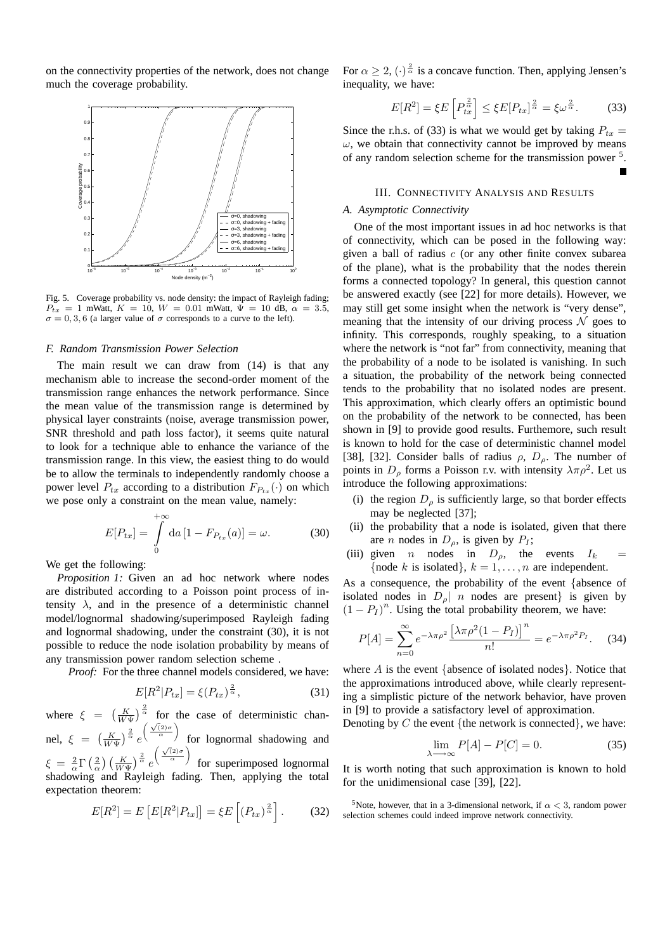on the connectivity properties of the network, does not change much the coverage probability.



Fig. 5. Coverage probability vs. node density: the impact of Rayleigh fading;  $P_{tx} = 1$  mWatt,  $K = 10$ ,  $W = 0.01$  mWatt,  $\Psi = 10$  dB,  $\alpha = 3.5$ ,  $\sigma = 0, 3, 6$  (a larger value of  $\sigma$  corresponds to a curve to the left).

#### *F. Random Transmission Power Selection*

The main result we can draw from (14) is that any mechanism able to increase the second-order moment of the transmission range enhances the network performance. Since the mean value of the transmission range is determined by physical layer constraints (noise, average transmission power, SNR threshold and path loss factor), it seems quite natural to look for a technique able to enhance the variance of the transmission range. In this view, the easiest thing to do would be to allow the terminals to independently randomly choose a power level  $P_{tx}$  according to a distribution  $F_{P_{tx}}(\cdot)$  on which we pose only a constraint on the mean value, namely:

$$
E[P_{tx}] = \int_{0}^{+\infty} da \left[1 - F_{P_{tx}}(a)\right] = \omega.
$$
 (30)

We get the following:

*Proposition 1:* Given an ad hoc network where nodes are distributed according to a Poisson point process of intensity  $\lambda$ , and in the presence of a deterministic channel model/lognormal shadowing/superimposed Rayleigh fading and lognormal shadowing, under the constraint (30), it is not possible to reduce the node isolation probability by means of any transmission power random selection scheme .

*Proof:* For the three channel models considered, we have:

$$
E[R^2|P_{tx}] = \xi(P_{tx})^{\frac{2}{\alpha}},\tag{31}
$$

where  $\xi = \left(\frac{K}{W\Psi}\right)^{\frac{2}{\alpha}}$  for the case of deterministic channel,  $\xi = \left(\frac{K}{W\Psi}\right)^{\frac{2}{\alpha}}e$  $\left(\frac{\sqrt{2}\sigma}{\alpha}\right)$ for lognormal shadowing and  $\xi \,=\, \frac{2}{\alpha}\Gamma\left(\frac{2}{\alpha}\right)\left(\frac{K}{W\Psi}\right)^{\frac{2}{\alpha}}e$  $\left(\frac{\sqrt{2}\sigma}{\alpha}\right)$ for superimposed lognormal shadowing and Rayleigh fading. Then, applying the total expectation theorem:

$$
E[R^2] = E\left[E[R^2|P_{tx}]\right] = \xi E\left[(P_{tx})^{\frac{2}{\alpha}}\right].\tag{32}
$$

For  $\alpha \ge 2$ ,  $(\cdot)^{\frac{2}{\alpha}}$  is a concave function. Then, applying Jensen's inequality, we have:

$$
E[R^2] = \xi E\left[P_{tx}^{\frac{2}{\alpha}}\right] \le \xi E[P_{tx}]^{\frac{2}{\alpha}} = \xi \omega^{\frac{2}{\alpha}}.
$$
 (33)

Since the r.h.s. of (33) is what we would get by taking  $P_{tx}$  =  $\omega$ , we obtain that connectivity cannot be improved by means of any random selection scheme for the transmission power<sup>5</sup>.

# III. CONNECTIVITY ANALYSIS AND RESULTS

# *A. Asymptotic Connectivity*

One of the most important issues in ad hoc networks is that of connectivity, which can be posed in the following way: given a ball of radius  $c$  (or any other finite convex subarea of the plane), what is the probability that the nodes therein forms a connected topology? In general, this question cannot be answered exactly (see [22] for more details). However, we may still get some insight when the network is "very dense", meaning that the intensity of our driving process  $\mathcal N$  goes to infinity. This corresponds, roughly speaking, to a situation where the network is "not far" from connectivity, meaning that the probability of a node to be isolated is vanishing. In such a situation, the probability of the network being connected tends to the probability that no isolated nodes are present. This approximation, which clearly offers an optimistic bound on the probability of the network to be connected, has been shown in [9] to provide good results. Furthemore, such result is known to hold for the case of deterministic channel model [38], [32]. Consider balls of radius  $\rho$ ,  $D_{\rho}$ . The number of points in  $D_\rho$  forms a Poisson r.v. with intensity  $\lambda \pi \rho^2$ . Let us introduce the following approximations:

- (i) the region  $D_{\rho}$  is sufficiently large, so that border effects may be neglected [37];
- (ii) the probability that a node is isolated, given that there are *n* nodes in  $D_{\rho}$ , is given by  $P_I$ ;
- (iii) given *n* nodes in  $D_{\rho}$ , the events  $I_k$  = {node k is isolated},  $k = 1, \ldots, n$  are independent.

As a consequence, the probability of the event {absence of isolated nodes in  $D_{\rho}$  n nodes are present} is given by  $(1 - P_I)^n$ . Using the total probability theorem, we have:

$$
P[A] = \sum_{n=0}^{\infty} e^{-\lambda \pi \rho^2} \frac{\left[\lambda \pi \rho^2 (1 - P_I)\right]^n}{n!} = e^{-\lambda \pi \rho^2 P_I}.
$$
 (34)

where  $A$  is the event {absence of isolated nodes}. Notice that the approximations introduced above, while clearly representing a simplistic picture of the network behavior, have proven in [9] to provide a satisfactory level of approximation.

Denoting by  $C$  the event {the network is connected}, we have:

$$
\lim_{\lambda \to \infty} P[A] - P[C] = 0. \tag{35}
$$

It is worth noting that such approximation is known to hold for the unidimensional case [39], [22].

<sup>5</sup>Note, however, that in a 3-dimensional network, if  $\alpha$  < 3, random power selection schemes could indeed improve network connectivity.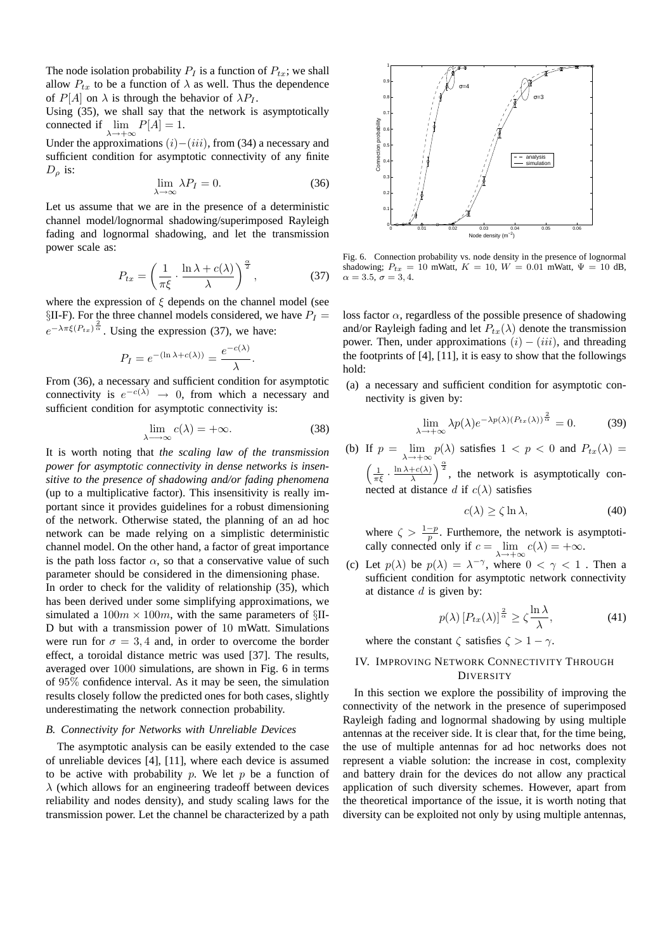The node isolation probability  $P_I$  is a function of  $P_{tx}$ ; we shall allow  $P_{tx}$  to be a function of  $\lambda$  as well. Thus the dependence of  $P[A]$  on  $\lambda$  is through the behavior of  $\lambda P_I$ .

Using (35), we shall say that the network is asymptotically connected if  $\lim_{\lambda \to +\infty} P[A] = 1.$ 

Under the approximations  $(i)-(iii)$ , from (34) a necessary and sufficient condition for asymptotic connectivity of any finite  $D_{\rho}$  is:

$$
\lim_{\lambda \to \infty} \lambda P_I = 0. \tag{36}
$$

Let us assume that we are in the presence of a deterministic channel model/lognormal shadowing/superimposed Rayleigh fading and lognormal shadowing, and let the transmission power scale as:

$$
P_{tx} = \left(\frac{1}{\pi\xi} \cdot \frac{\ln \lambda + c(\lambda)}{\lambda}\right)^{\frac{\alpha}{2}},\tag{37}
$$

where the expression of  $\xi$  depends on the channel model (see  $\S$ II-F). For the three channel models considered, we have  $P_I =$  $e^{-\lambda \pi \xi (P_{tx})^{\frac{2}{\alpha}}}$ . Using the expression (37), we have:

$$
P_I = e^{-(\ln \lambda + c(\lambda))} = \frac{e^{-c(\lambda)}}{\lambda}.
$$

From (36), a necessary and sufficient condition for asymptotic connectivity is  $e^{-c(\lambda)} \to 0$ , from which a necessary and sufficient condition for asymptotic connectivity is:

$$
\lim_{\lambda \to \infty} c(\lambda) = +\infty. \tag{38}
$$

It is worth noting that *the scaling law of the transmission power for asymptotic connectivity in dense networks is insensitive to the presence of shadowing and/or fading phenomena* (up to a multiplicative factor). This insensitivity is really important since it provides guidelines for a robust dimensioning of the network. Otherwise stated, the planning of an ad hoc network can be made relying on a simplistic deterministic channel model. On the other hand, a factor of great importance is the path loss factor  $\alpha$ , so that a conservative value of such parameter should be considered in the dimensioning phase. In order to check for the validity of relationship (35), which has been derived under some simplifying approximations, we simulated a  $100m \times 100m$ , with the same parameters of §II-D but with a transmission power of 10 mWatt. Simulations were run for  $\sigma = 3, 4$  and, in order to overcome the border effect, a toroidal distance metric was used [37]. The results, averaged over 1000 simulations, are shown in Fig. 6 in terms of 95% confidence interval. As it may be seen, the simulation

# underestimating the network connection probability. *B. Connectivity for Networks with Unreliable Devices*

results closely follow the predicted ones for both cases, slightly

The asymptotic analysis can be easily extended to the case of unreliable devices [4], [11], where each device is assumed to be active with probability p. We let p be a function of  $\lambda$  (which allows for an engineering tradeoff between devices reliability and nodes density), and study scaling laws for the transmission power. Let the channel be characterized by a path



Fig. 6. Connection probability vs. node density in the presence of lognormal shadowing;  $P_{tx} = 10$  mWatt,  $K = 10$ ,  $W = 0.01$  mWatt,  $\Psi = 10$  dB,  $\alpha=3.5,\,\sigma=3,4.$ 

loss factor  $\alpha$ , regardless of the possible presence of shadowing and/or Rayleigh fading and let  $P_{tx}(\lambda)$  denote the transmission power. Then, under approximations  $(i) - (iii)$ , and threading the footprints of [4], [11], it is easy to show that the followings hold:

(a) a necessary and sufficient condition for asymptotic connectivity is given by:

$$
\lim_{\lambda \to +\infty} \lambda p(\lambda) e^{-\lambda p(\lambda) (P_{tx}(\lambda))^{\frac{2}{\alpha}}} = 0.
$$
 (39)

(b) If  $p = \lim_{\lambda \to +\infty} p(\lambda)$  satisfies  $1 < p < 0$  and  $P_{tx}(\lambda) =$  $\left(\frac{1}{\pi\xi}\cdot\frac{\ln\lambda+c(\lambda)}{\lambda}\right)$  $\left(\frac{+\epsilon(\lambda)}{\lambda}\right)^{\frac{\alpha}{2}}$ , the network is asymptotically connected at distance d if  $c(\lambda)$  satisfies

$$
c(\lambda) \ge \zeta \ln \lambda, \tag{40}
$$

where  $\zeta > \frac{1-p}{p}$ . Furthemore, the network is asymptotically connected only if  $c = \lim_{\lambda \to +\infty} c(\lambda) = +\infty$ .

(c) Let  $p(\lambda)$  be  $p(\lambda) = \lambda^{-\gamma}$ , where  $0 < \gamma < 1$ . Then a sufficient condition for asymptotic network connectivity at distance  $d$  is given by:

$$
p(\lambda) \left[ P_{tx}(\lambda) \right]^{\frac{2}{\alpha}} \ge \zeta \frac{\ln \lambda}{\lambda},\tag{41}
$$

where the constant  $\zeta$  satisfies  $\zeta > 1 - \gamma$ .

# IV. IMPROVING NETWORK CONNECTIVITY THROUGH **DIVERSITY**

In this section we explore the possibility of improving the connectivity of the network in the presence of superimposed Rayleigh fading and lognormal shadowing by using multiple antennas at the receiver side. It is clear that, for the time being, the use of multiple antennas for ad hoc networks does not represent a viable solution: the increase in cost, complexity and battery drain for the devices do not allow any practical application of such diversity schemes. However, apart from the theoretical importance of the issue, it is worth noting that diversity can be exploited not only by using multiple antennas,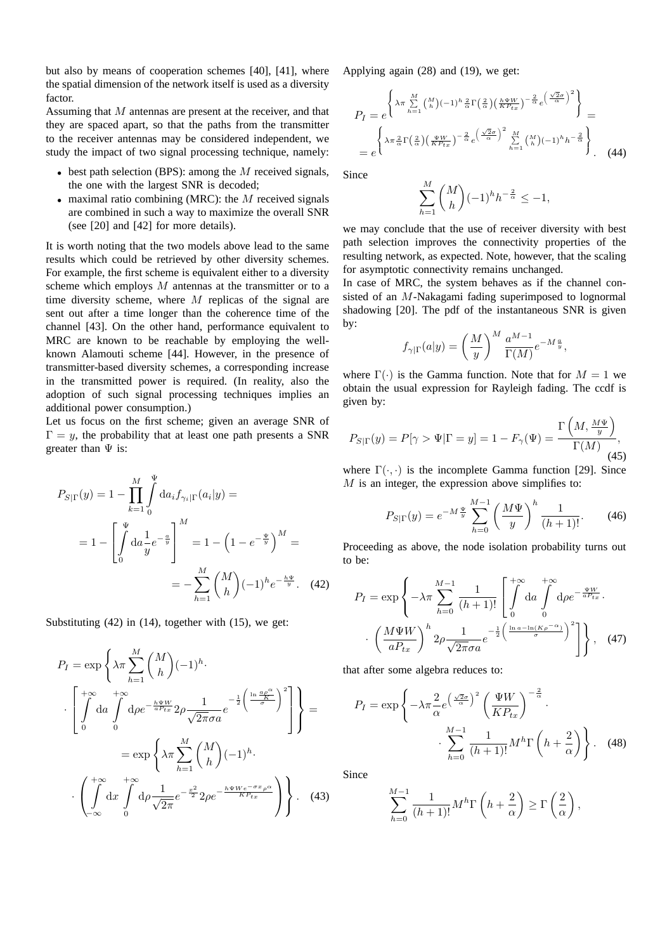but also by means of cooperation schemes [40], [41], where the spatial dimension of the network itself is used as a diversity factor.

Assuming that M antennas are present at the receiver, and that they are spaced apart, so that the paths from the transmitter to the receiver antennas may be considered independent, we study the impact of two signal processing technique, namely:

- best path selection (BPS): among the  $M$  received signals, the one with the largest SNR is decoded;
- maximal ratio combining (MRC): the  $M$  received signals are combined in such a way to maximize the overall SNR (see [20] and [42] for more details).

It is worth noting that the two models above lead to the same results which could be retrieved by other diversity schemes. For example, the first scheme is equivalent either to a diversity scheme which employs M antennas at the transmitter or to a time diversity scheme, where  $M$  replicas of the signal are sent out after a time longer than the coherence time of the channel [43]. On the other hand, performance equivalent to MRC are known to be reachable by employing the wellknown Alamouti scheme [44]. However, in the presence of transmitter-based diversity schemes, a corresponding increase in the transmitted power is required. (In reality, also the adoption of such signal processing techniques implies an additional power consumption.)

Let us focus on the first scheme; given an average SNR of  $\Gamma = y$ , the probability that at least one path presents a SNR greater than  $\Psi$  is:

$$
P_{S|\Gamma}(y) = 1 - \prod_{k=1}^{M} \int_{0}^{\Psi} da_i f_{\gamma_i|\Gamma}(a_i|y) =
$$
  
= 
$$
1 - \left[ \int_{0}^{\Psi} da \frac{1}{y} e^{-\frac{a}{y}} \right]^{M} = 1 - \left( 1 - e^{-\frac{\Psi}{y}} \right)^{M} =
$$
  
= 
$$
- \sum_{h=1}^{M} {M \choose h} (-1)^h e^{-\frac{h\Psi}{y}}.
$$
 (42)

Substituting (42) in (14), together with (15), we get:

$$
P_{I} = \exp\left\{\lambda\pi \sum_{h=1}^{M} {M \choose h} (-1)^{h} \cdot \left[\int_{0}^{+\infty} da \int_{0}^{+\infty} d\rho e^{-\frac{h\Psi W}{aP_{tx}}} 2\rho \frac{1}{\sqrt{2\pi}\sigma a} e^{-\frac{1}{2}\left(\frac{\ln\frac{a\rho^{\alpha}}{s}}{\sigma}\right)^{2}}\right]\right\} =
$$

$$
= \exp\left\{\lambda\pi \sum_{h=1}^{M} {M \choose h} (-1)^{h} \cdot \left(\int_{-\infty}^{+\infty} dx \int_{0}^{+\infty} d\rho \frac{1}{\sqrt{2\pi}} e^{-\frac{x^{2}}{2}} 2\rho e^{-\frac{h\Psi W e^{-\sigma x} \rho^{\alpha}}{KP_{tx}}}\right)\right\}.
$$
(43)

Applying again (28) and (19), we get:

$$
P_{I} = e^{\left\{\lambda \pi \sum_{h=1}^{M} {M \choose h} (-1)^{h} \frac{2}{\alpha} \Gamma\left(\frac{2}{\alpha}\right) \left(\frac{h \Psi W}{KP_{tx}}\right)^{-\frac{2}{\alpha}} e^{\left(\frac{\sqrt{2}\sigma}{\alpha}\right)^{2}}\right\}} =
$$

$$
= e^{\left\{\lambda \pi \frac{2}{\alpha} \Gamma\left(\frac{2}{\alpha}\right) \left(\frac{\Psi W}{KP_{tx}}\right)^{-\frac{2}{\alpha}} e^{\left(\frac{\sqrt{2}\sigma}{\alpha}\right)^{2}} \sum_{h=1}^{M} {M \choose h} (-1)^{h} h^{-\frac{2}{\alpha}}\right\}}.
$$
(44)

Since

$$
\sum_{h=1}^M \binom{M}{h} (-1)^h h^{-\frac{2}{\alpha}} \leq -1,
$$

we may conclude that the use of receiver diversity with best path selection improves the connectivity properties of the resulting network, as expected. Note, however, that the scaling for asymptotic connectivity remains unchanged.

In case of MRC, the system behaves as if the channel consisted of an M-Nakagami fading superimposed to lognormal shadowing [20]. The pdf of the instantaneous SNR is given by:

$$
f_{\gamma|\Gamma}(a|y) = \left(\frac{M}{y}\right)^M \frac{a^{M-1}}{\Gamma(M)} e^{-M\frac{a}{y}},
$$

where  $\Gamma(\cdot)$  is the Gamma function. Note that for  $M = 1$  we obtain the usual expression for Rayleigh fading. The ccdf is given by:

$$
P_{S|\Gamma}(y) = P[\gamma > \Psi | \Gamma = y] = 1 - F_{\gamma}(\Psi) = \frac{\Gamma\left(M, \frac{M\Psi}{y}\right)}{\Gamma(M)},\tag{45}
$$

where  $\Gamma(\cdot, \cdot)$  is the incomplete Gamma function [29]. Since  $M$  is an integer, the expression above simplifies to:

$$
P_{S|\Gamma}(y) = e^{-M\frac{\Psi}{y}} \sum_{h=0}^{M-1} \left(\frac{M\Psi}{y}\right)^h \frac{1}{(h+1)!}.
$$
 (46)

Proceeding as above, the node isolation probability turns out to be:

$$
P_I = \exp\left\{-\lambda \pi \sum_{h=0}^{M-1} \frac{1}{(h+1)!} \left[ \int_0^{+\infty} \mathrm{d}a \int_0^{+\infty} \mathrm{d}\rho e^{-\frac{\Psi W}{aP_{tx}}} \cdot \cdot \left( \frac{M\Psi W}{aP_{tx}} \right)^h 2\rho \frac{1}{\sqrt{2\pi}\sigma a} e^{-\frac{1}{2} \left( \frac{\ln a - \ln(K\rho^{-\alpha})}{\sigma} \right)^2} \right] \right\}, \quad (47)
$$

that after some algebra reduces to:

$$
P_I = \exp\left\{-\lambda \pi \frac{2}{\alpha} e^{\left(\frac{\sqrt{2}\sigma}{\alpha}\right)^2} \left(\frac{\Psi W}{KP_{tx}}\right)^{-\frac{2}{\alpha}} \cdot \frac{M-1}{\left(h+1\right)!} M^h \Gamma\left(h+\frac{2}{\alpha}\right) \right\}.
$$
 (48)

Since

$$
\sum_{h=0}^{M-1} \frac{1}{(h+1)!} M^h \Gamma\left(h + \frac{2}{\alpha}\right) \ge \Gamma\left(\frac{2}{\alpha}\right),
$$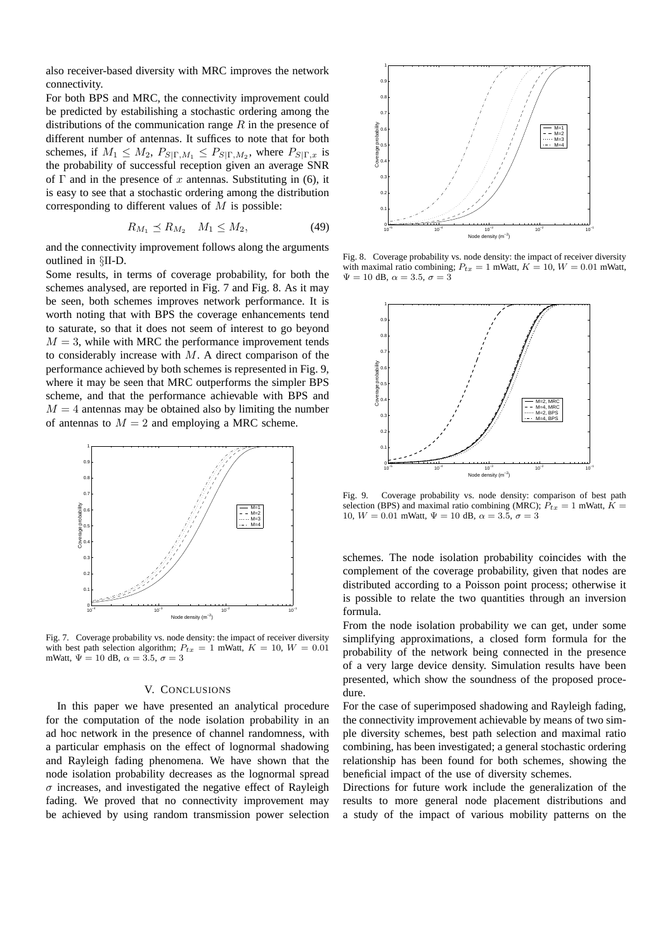also receiver-based diversity with MRC improves the network connectivity.

For both BPS and MRC, the connectivity improvement could be predicted by estabilishing a stochastic ordering among the distributions of the communication range  $R$  in the presence of different number of antennas. It suffices to note that for both schemes, if  $M_1 \leq M_2$ ,  $P_{S|\Gamma,M_1} \leq P_{S|\Gamma,M_2}$ , where  $P_{S|\Gamma,x}$  is the probability of successful reception given an average SNR of  $\Gamma$  and in the presence of x antennas. Substituting in (6), it is easy to see that a stochastic ordering among the distribution corresponding to different values of  $M$  is possible:

$$
R_{M_1} \preceq R_{M_2} \quad M_1 \le M_2,\tag{49}
$$

and the connectivity improvement follows along the arguments outlined in §II-D.

Some results, in terms of coverage probability, for both the schemes analysed, are reported in Fig. 7 and Fig. 8. As it may be seen, both schemes improves network performance. It is worth noting that with BPS the coverage enhancements tend to saturate, so that it does not seem of interest to go beyond  $M = 3$ , while with MRC the performance improvement tends to considerably increase with  $M$ . A direct comparison of the performance achieved by both schemes is represented in Fig. 9, where it may be seen that MRC outperforms the simpler BPS scheme, and that the performance achievable with BPS and  $M = 4$  antennas may be obtained also by limiting the number of antennas to  $M = 2$  and employing a MRC scheme.



Fig. 7. Coverage probability vs. node density: the impact of receiver diversity with best path selection algorithm;  $P_{tx} = 1$  mWatt,  $K = 10$ ,  $W = 0.01$ mWatt,  $\Psi = 10$  dB,  $\alpha = 3.5$ ,  $\sigma = 3$ 

#### V. CONCLUSIONS

In this paper we have presented an analytical procedure for the computation of the node isolation probability in an ad hoc network in the presence of channel randomness, with a particular emphasis on the effect of lognormal shadowing and Rayleigh fading phenomena. We have shown that the node isolation probability decreases as the lognormal spread  $\sigma$  increases, and investigated the negative effect of Rayleigh fading. We proved that no connectivity improvement may be achieved by using random transmission power selection



Fig. 8. Coverage probability vs. node density: the impact of receiver diversity with maximal ratio combining;  $P_{tx} = 1$  mWatt,  $K = 10$ ,  $W = 0.01$  mWatt,  $\Psi=10$  dB,  $\alpha=3.5,$   $\sigma=3$ 



Fig. 9. Coverage probability vs. node density: comparison of best path selection (BPS) and maximal ratio combining (MRC);  $P_{tx} = 1$  mWatt,  $K =$ 10,  $W = 0.01$  mWatt,  $\Psi = 10$  dB,  $\alpha = 3.5$ ,  $\sigma = 3$ 

schemes. The node isolation probability coincides with the complement of the coverage probability, given that nodes are distributed according to a Poisson point process; otherwise it is possible to relate the two quantities through an inversion formula.

From the node isolation probability we can get, under some simplifying approximations, a closed form formula for the probability of the network being connected in the presence of a very large device density. Simulation results have been presented, which show the soundness of the proposed procedure.

For the case of superimposed shadowing and Rayleigh fading, the connectivity improvement achievable by means of two simple diversity schemes, best path selection and maximal ratio combining, has been investigated; a general stochastic ordering relationship has been found for both schemes, showing the beneficial impact of the use of diversity schemes.

Directions for future work include the generalization of the results to more general node placement distributions and a study of the impact of various mobility patterns on the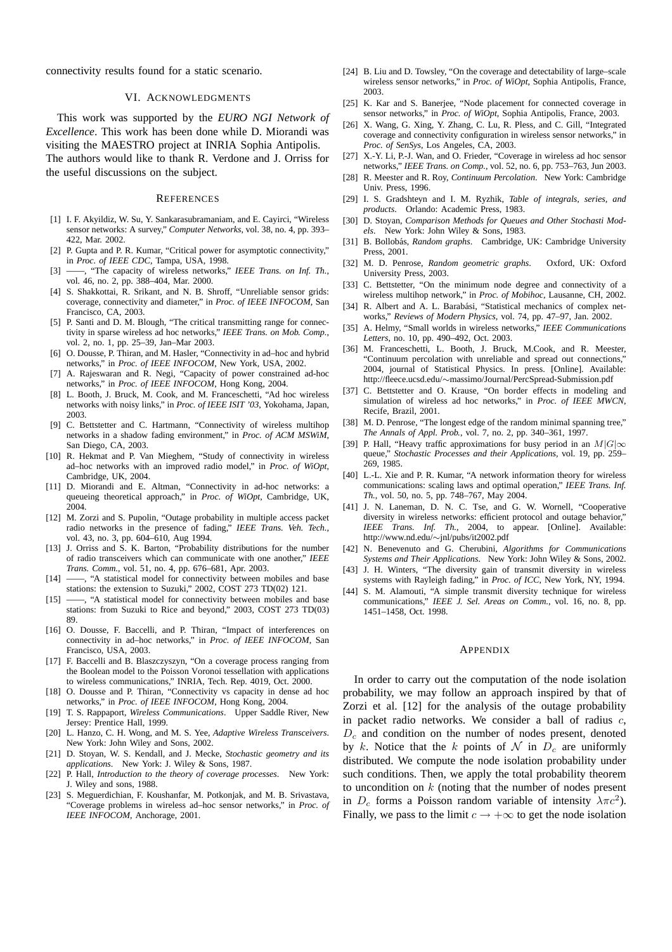connectivity results found for a static scenario.

#### VI. ACKNOWLEDGMENTS

This work was supported by the *EURO NGI Network of Excellence*. This work has been done while D. Miorandi was visiting the MAESTRO project at INRIA Sophia Antipolis. The authors would like to thank R. Verdone and J. Orriss for the useful discussions on the subject.

#### **REFERENCES**

- [1] I. F. Akyildiz, W. Su, Y. Sankarasubramaniam, and E. Cayirci, "Wireless sensor networks: A survey," *Computer Networks*, vol. 38, no. 4, pp. 393– 422, Mar. 2002.
- [2] P. Gupta and P. R. Kumar, "Critical power for asymptotic connectivity," in *Proc. of IEEE CDC*, Tampa, USA, 1998.
- [3] ——, "The capacity of wireless networks," *IEEE Trans. on Inf. Th.*, vol. 46, no. 2, pp. 388–404, Mar. 2000.
- [4] S. Shakkottai, R. Srikant, and N. B. Shroff, "Unreliable sensor grids: coverage, connectivity and diameter," in *Proc. of IEEE INFOCOM*, San Francisco, CA, 2003.
- [5] P. Santi and D. M. Blough, "The critical transmitting range for connectivity in sparse wireless ad hoc networks," *IEEE Trans. on Mob. Comp.*, vol. 2, no. 1, pp. 25–39, Jan–Mar 2003.
- [6] O. Dousse, P. Thiran, and M. Hasler, "Connectivity in ad–hoc and hybrid networks," in *Proc. of IEEE INFOCOM*, New York, USA, 2002.
- [7] A. Rajeswaran and R. Negi, "Capacity of power constrained ad-hoc networks," in *Proc. of IEEE INFOCOM*, Hong Kong, 2004.
- [8] L. Booth, J. Bruck, M. Cook, and M. Franceschetti, "Ad hoc wireless networks with noisy links," in *Proc. of IEEE ISIT '03*, Yokohama, Japan, 2003.
- [9] C. Bettstetter and C. Hartmann, "Connectivity of wireless multihop networks in a shadow fading environment," in *Proc. of ACM MSWiM*, San Diego, CA, 2003.
- [10] R. Hekmat and P. Van Mieghem, "Study of connectivity in wireless ad–hoc networks with an improved radio model," in *Proc. of WiOpt*, Cambridge, UK, 2004.
- [11] D. Miorandi and E. Altman, "Connectivity in ad-hoc networks: a queueing theoretical approach," in *Proc. of WiOpt*, Cambridge, UK, 2004.
- [12] M. Zorzi and S. Pupolin, "Outage probability in multiple access packet radio networks in the presence of fading," *IEEE Trans. Veh. Tech.*, vol. 43, no. 3, pp. 604–610, Aug 1994.
- [13] J. Orriss and S. K. Barton, "Probability distributions for the number of radio transceivers which can communicate with one another," *IEEE Trans. Comm.*, vol. 51, no. 4, pp. 676–681, Apr. 2003.
- [14] ——, "A statistical model for connectivity between mobiles and base stations: the extension to Suzuki," 2002, COST 273 TD(02) 121.
- [15] -, "A statistical model for connectivity between mobiles and base stations: from Suzuki to Rice and beyond," 2003, COST 273 TD(03) 89.
- [16] O. Dousse, F. Baccelli, and P. Thiran, "Impact of interferences on connectivity in ad–hoc networks," in *Proc. of IEEE INFOCOM*, San Francisco, USA, 2003.
- [17] F. Baccelli and B. Blaszczyszyn, "On a coverage process ranging from the Boolean model to the Poisson Voronoi tessellation with applications to wireless communications," INRIA, Tech. Rep. 4019, Oct. 2000.
- [18] O. Dousse and P. Thiran, "Connectivity vs capacity in dense ad hoc networks," in *Proc. of IEEE INFOCOM*, Hong Kong, 2004.
- [19] T. S. Rappaport, *Wireless Communications*. Upper Saddle River, New Jersey: Prentice Hall, 1999.
- [20] L. Hanzo, C. H. Wong, and M. S. Yee, *Adaptive Wireless Transceivers*. New York: John Wiley and Sons, 2002.
- [21] D. Stoyan, W. S. Kendall, and J. Mecke, *Stochastic geometry and its applications*. New York: J. Wiley & Sons, 1987.
- [22] P. Hall, *Introduction to the theory of coverage processes*. New York: J. Wiley and sons, 1988.
- [23] S. Meguerdichian, F. Koushanfar, M. Potkonjak, and M. B. Srivastava, "Coverage problems in wireless ad–hoc sensor networks," in *Proc. of IEEE INFOCOM*, Anchorage, 2001.
- [24] B. Liu and D. Towsley, "On the coverage and detectability of large–scale wireless sensor networks," in *Proc. of WiOpt*, Sophia Antipolis, France, 2003.
- [25] K. Kar and S. Banerjee, "Node placement for connected coverage in sensor networks," in *Proc. of WiOpt*, Sophia Antipolis, France, 2003.
- [26] X. Wang, G. Xing, Y. Zhang, C. Lu, R. Pless, and C. Gill, "Integrated coverage and connectivity configuration in wireless sensor networks," in *Proc. of SenSys*, Los Angeles, CA, 2003.
- [27] X.-Y. Li, P.-J. Wan, and O. Frieder, "Coverage in wireless ad hoc sensor networks," *IEEE Trans. on Comp.*, vol. 52, no. 6, pp. 753–763, Jun 2003.
- [28] R. Meester and R. Roy, *Continuum Percolation*. New York: Cambridge Univ. Press, 1996.
- [29] I. S. Gradshteyn and I. M. Ryzhik, *Table of integrals, series, and products*. Orlando: Academic Press, 1983.
- [30] D. Stoyan, *Comparison Methods for Queues and Other Stochasti Models*. New York: John Wiley & Sons, 1983.
- [31] B. Bollobás, Random graphs. Cambridge, UK: Cambridge University Press, 2001.
- [32] M. D. Penrose, *Random geometric graphs*. Oxford, UK: Oxford University Press, 2003.
- [33] C. Bettstetter, "On the minimum node degree and connectivity of a wireless multihop network," in *Proc. of Mobihoc*, Lausanne, CH, 2002.
- [34] R. Albert and A. L. Barabási, "Statistical mechanics of complex networks," *Reviews of Modern Physics*, vol. 74, pp. 47–97, Jan. 2002.
- [35] A. Helmy, "Small worlds in wireless networks," *IEEE Communications Letters*, no. 10, pp. 490–492, Oct. 2003.
- [36] M. Franceschetti, L. Booth, J. Bruck, M.Cook, and R. Meester, "Continuum percolation with unreliable and spread out connections," 2004, journal of Statistical Physics. In press. [Online]. Available: http://fleece.ucsd.edu/∼massimo/Journal/PercSpread-Submission.pdf
- [37] C. Bettstetter and O. Krause, "On border effects in modeling and simulation of wireless ad hoc networks," in *Proc. of IEEE MWCN*, Recife, Brazil, 2001.
- [38] M. D. Penrose, "The longest edge of the random minimal spanning tree," *The Annals of Appl. Prob.*, vol. 7, no. 2, pp. 340–361, 1997.
- [39] P. Hall, "Heavy traffic approximations for busy period in an  $M|G| \infty$ queue," *Stochastic Processes and their Applications*, vol. 19, pp. 259– 269, 1985.
- [40] L.-L. Xie and P. R. Kumar, "A network information theory for wireless communications: scaling laws and optimal operation," *IEEE Trans. Inf. Th.*, vol. 50, no. 5, pp. 748–767, May 2004.
- [41] J. N. Laneman, D. N. C. Tse, and G. W. Wornell, "Cooperative diversity in wireless networks: efficient protocol and outage behavior," *IEEE Trans. Inf. Th.*, 2004, to appear. [Online]. Available: http://www.nd.edu/∼jnl/pubs/it2002.pdf
- [42] N. Benevenuto and G. Cherubini, *Algorithms for Communications Systems and Their Applications*. New York: John Wiley & Sons, 2002.
- [43] J. H. Winters, "The diversity gain of transmit diversity in wireless systems with Rayleigh fading," in *Proc. of ICC*, New York, NY, 1994.
- [44] S. M. Alamouti, "A simple transmit diversity technique for wireless communications," *IEEE J. Sel. Areas on Comm.*, vol. 16, no. 8, pp. 1451–1458, Oct. 1998.

#### **APPENDIX**

In order to carry out the computation of the node isolation probability, we may follow an approach inspired by that of Zorzi et al. [12] for the analysis of the outage probability in packet radio networks. We consider a ball of radius  $c$ ,  $D<sub>c</sub>$  and condition on the number of nodes present, denoted by k. Notice that the k points of N in  $D_c$  are uniformly distributed. We compute the node isolation probability under such conditions. Then, we apply the total probability theorem to uncondition on  $k$  (noting that the number of nodes present in  $D_c$  forms a Poisson random variable of intensity  $\lambda \pi c^2$ ). Finally, we pass to the limit  $c \rightarrow +\infty$  to get the node isolation